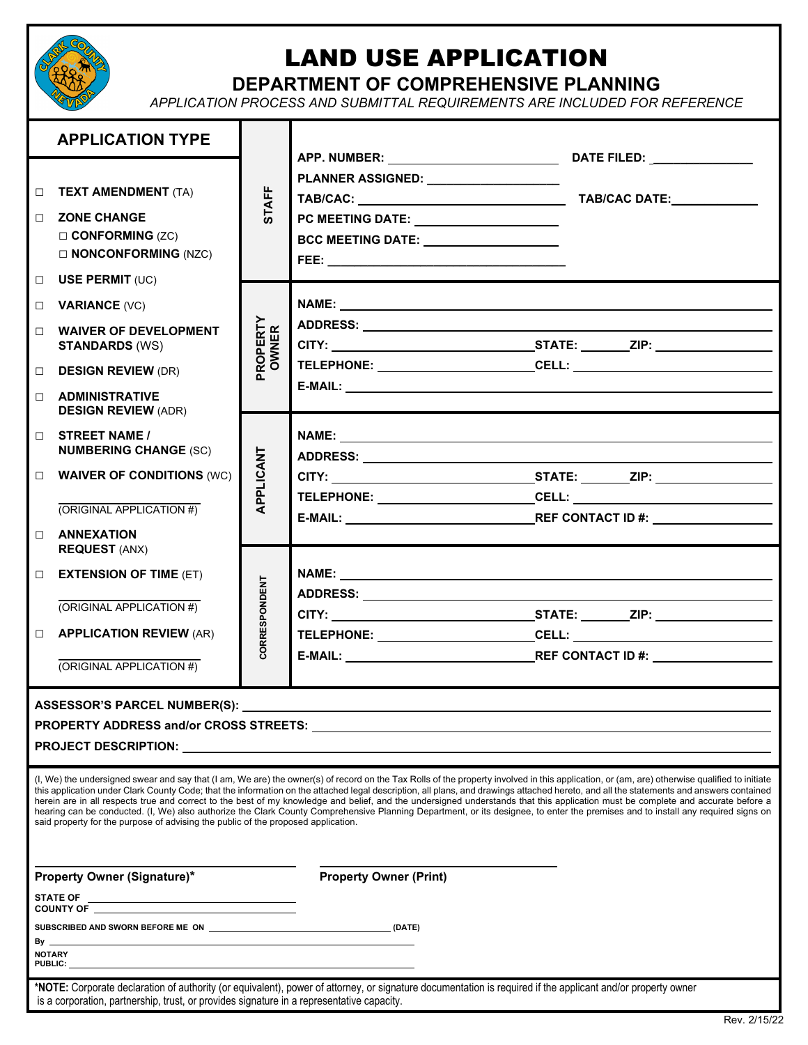

# LAND USE APPLICATION

### **DEPARTMENT OF COMPREHENSIVE PLANNING**

*APPLICATION PROCESS AND SUBMITTAL REQUIREMENTS ARE INCLUDED FOR REFERENCE*

|                  | <b>APPLICATION TYPE</b>                                                                                        |                          |                                                                                                                                                                                                                                                                                                                                                                                                                                                                                                                                                                                                                                                                                                                                                                 |
|------------------|----------------------------------------------------------------------------------------------------------------|--------------------------|-----------------------------------------------------------------------------------------------------------------------------------------------------------------------------------------------------------------------------------------------------------------------------------------------------------------------------------------------------------------------------------------------------------------------------------------------------------------------------------------------------------------------------------------------------------------------------------------------------------------------------------------------------------------------------------------------------------------------------------------------------------------|
| □<br>П.          | <b>TEXT AMENDMENT (TA)</b><br><b>ZONE CHANGE</b><br>$\square$ CONFORMING (ZC)<br>$\square$ NONCONFORMING (NZC) | <b>STAFF</b>             | PLANNER ASSIGNED: ___________________<br>PC MEETING DATE: ________________________<br>BCC MEETING DATE: ____________________                                                                                                                                                                                                                                                                                                                                                                                                                                                                                                                                                                                                                                    |
| $\Box$<br>$\Box$ | <b>USE PERMIT (UC)</b><br><b>VARIANCE (VC)</b>                                                                 | <b>PROPERTY</b><br>OWNER |                                                                                                                                                                                                                                                                                                                                                                                                                                                                                                                                                                                                                                                                                                                                                                 |
| $\Box$           | <b>WAIVER OF DEVELOPMENT</b><br><b>STANDARDS (WS)</b>                                                          |                          |                                                                                                                                                                                                                                                                                                                                                                                                                                                                                                                                                                                                                                                                                                                                                                 |
| $\Box$           | <b>DESIGN REVIEW (DR)</b>                                                                                      |                          |                                                                                                                                                                                                                                                                                                                                                                                                                                                                                                                                                                                                                                                                                                                                                                 |
| П.               | <b>ADMINISTRATIVE</b><br><b>DESIGN REVIEW (ADR)</b>                                                            |                          |                                                                                                                                                                                                                                                                                                                                                                                                                                                                                                                                                                                                                                                                                                                                                                 |
| П.               | <b>STREET NAME /</b><br><b>NUMBERING CHANGE (SC)</b>                                                           |                          |                                                                                                                                                                                                                                                                                                                                                                                                                                                                                                                                                                                                                                                                                                                                                                 |
| $\Box$           | <b>WAIVER OF CONDITIONS (WC)</b>                                                                               | APPLICANT                |                                                                                                                                                                                                                                                                                                                                                                                                                                                                                                                                                                                                                                                                                                                                                                 |
|                  | (ORIGINAL APPLICATION #)                                                                                       |                          | TELEPHONE: ______________________________CELL: _________________________________                                                                                                                                                                                                                                                                                                                                                                                                                                                                                                                                                                                                                                                                                |
| П                | <b>ANNEXATION</b><br><b>REQUEST (ANX)</b>                                                                      |                          |                                                                                                                                                                                                                                                                                                                                                                                                                                                                                                                                                                                                                                                                                                                                                                 |
| $\Box$           | <b>EXTENSION OF TIME (ET)</b>                                                                                  |                          |                                                                                                                                                                                                                                                                                                                                                                                                                                                                                                                                                                                                                                                                                                                                                                 |
|                  | (ORIGINAL APPLICATION #)                                                                                       | CORRESPONDENT            |                                                                                                                                                                                                                                                                                                                                                                                                                                                                                                                                                                                                                                                                                                                                                                 |
| $\Box$           | <b>APPLICATION REVIEW (AR)</b>                                                                                 |                          | TELEPHONE: ______________________________CELL: _________________________________                                                                                                                                                                                                                                                                                                                                                                                                                                                                                                                                                                                                                                                                                |
|                  | (ORIGINAL APPLICATION #)                                                                                       |                          |                                                                                                                                                                                                                                                                                                                                                                                                                                                                                                                                                                                                                                                                                                                                                                 |
|                  | ASSESSOR'S PARCEL NUMBER(S): __                                                                                |                          |                                                                                                                                                                                                                                                                                                                                                                                                                                                                                                                                                                                                                                                                                                                                                                 |
|                  | said property for the purpose of advising the public of the proposed application.                              |                          | (I, We) the undersigned swear and say that (I am, We are) the owner(s) of record on the Tax Rolls of the property involved in this application, or (am, are) otherwise qualified to initiate<br>this application under Clark County Code; that the information on the attached legal description, all plans, and drawings attached hereto, and all the statements and answers contained<br>herein are in all respects true and correct to the best of my knowledge and belief, and the undersigned understands that this application must be complete and accurate before a<br>hearing can be conducted. (I, We) also authorize the Clark County Comprehensive Planning Department, or its designee, to enter the premises and to install any required signs on |
|                  | <b>Property Owner (Signature)*</b>                                                                             |                          | <b>Property Owner (Print)</b>                                                                                                                                                                                                                                                                                                                                                                                                                                                                                                                                                                                                                                                                                                                                   |
|                  |                                                                                                                |                          |                                                                                                                                                                                                                                                                                                                                                                                                                                                                                                                                                                                                                                                                                                                                                                 |
| By _             |                                                                                                                |                          |                                                                                                                                                                                                                                                                                                                                                                                                                                                                                                                                                                                                                                                                                                                                                                 |
|                  | <b>NOTARY</b>                                                                                                  |                          |                                                                                                                                                                                                                                                                                                                                                                                                                                                                                                                                                                                                                                                                                                                                                                 |
|                  | is a corporation, partnership, trust, or provides signature in a representative capacity.                      |                          | *NOTE: Corporate declaration of authority (or equivalent), power of attorney, or signature documentation is required if the applicant and/or property owner                                                                                                                                                                                                                                                                                                                                                                                                                                                                                                                                                                                                     |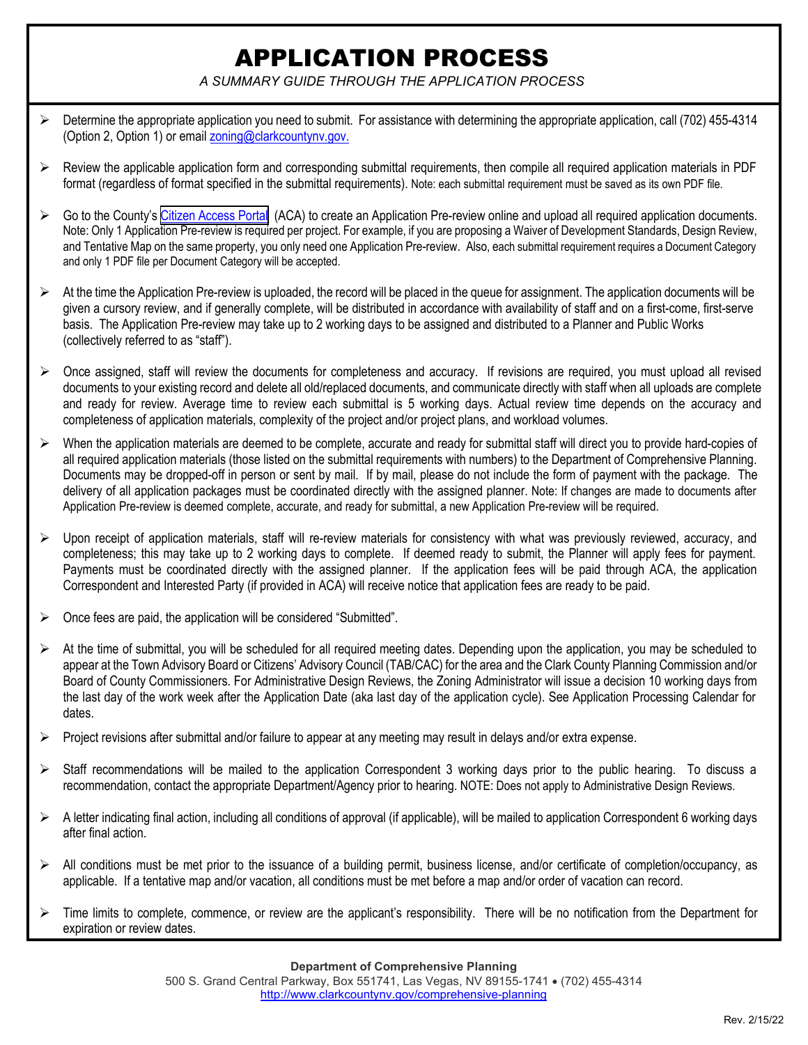## APPLICATION PROCESS

*A SUMMARY GUIDE THROUGH THE APPLICATION PROCESS* 

- $\triangleright$  Determine the appropriate application you need to submit. For assistance with determining the appropriate application, call (702) 455-4314 (Option 2, Option 1) or email zoning@clarkcountynv.gov.
- $\triangleright$  Review the applicable application form and corresponding submittal requirements, then compile all required application materials in PDF format (regardless of format specified in the submittal requirements). Note: each submittal requirement must be saved as its own PDF file.
- $\triangleright$  Go to the County's [Citizen Access Portal](https://citizenaccess.clarkcountynv.gov/CitizenAccess/Default.aspx) (ACA) to create an Application Pre-review online and upload all required application documents. Note: Only 1 Application Pre-review is required per project. For example, if you are proposing a Waiver of Development Standards, Design Review, and Tentative Map on the same property, you only need one Application Pre-review. Also, each submittal requirement requires a Document Category and only 1 PDF file per Document Category will be accepted.
- $\triangleright$  At the time the Application Pre-review is uploaded, the record will be placed in the queue for assignment. The application documents will be given a cursory review, and if generally complete, will be distributed in accordance with availability of staff and on a first-come, first-serve basis. The Application Pre-review may take up to 2 working days to be assigned and distributed to a Planner and Public Works (collectively referred to as "staff").
- $\triangleright$  Once assigned, staff will review the documents for completeness and accuracy. If revisions are required, you must upload all revised documents to your existing record and delete all old/replaced documents, and communicate directly with staff when all uploads are complete and ready for review. Average time to review each submittal is 5 working days. Actual review time depends on the accuracy and completeness of application materials, complexity of the project and/or project plans, and workload volumes.
- $\triangleright$  When the application materials are deemed to be complete, accurate and ready for submittal staff will direct you to provide hard-copies of all required application materials (those listed on the submittal requirements with numbers) to the Department of Comprehensive Planning. Documents may be dropped-off in person or sent by mail. If by mail, please do not include the form of payment with the package. The delivery of all application packages must be coordinated directly with the assigned planner. Note: If changes are made to documents after Application Pre-review is deemed complete, accurate, and ready for submittal, a new Application Pre-review will be required.
- $\triangleright$  Upon receipt of application materials, staff will re-review materials for consistency with what was previously reviewed, accuracy, and completeness; this may take up to 2 working days to complete. If deemed ready to submit, the Planner will apply fees for payment. Payments must be coordinated directly with the assigned planner. If the application fees will be paid through ACA, the application Correspondent and Interested Party (if provided in ACA) will receive notice that application fees are ready to be paid.
- $\triangleright$  Once fees are paid, the application will be considered "Submitted".
- $\triangleright$  At the time of submittal, you will be scheduled for all required meeting dates. Depending upon the application, you may be scheduled to appear at the Town Advisory Board or Citizens' Advisory Council (TAB/CAC) for the area and the Clark County Planning Commission and/or Board of County Commissioners. For Administrative Design Reviews, the Zoning Administrator will issue a decision 10 working days from the last day of the work week after the Application Date (aka last day of the application cycle). See Application Processing Calendar for dates.
- $\triangleright$  Project revisions after submittal and/or failure to appear at any meeting may result in delays and/or extra expense.
- Staff recommendations will be mailed to the application Correspondent 3 working days prior to the public hearing. To discuss a recommendation, contact the appropriate Department/Agency prior to hearing. NOTE: Does not apply to Administrative Design Reviews.
- $\triangleright$  A letter indicating final action, including all conditions of approval (if applicable), will be mailed to application Correspondent 6 working days after final action.
- $\triangleright$  All conditions must be met prior to the issuance of a building permit, business license, and/or certificate of completion/occupancy, as applicable. If a tentative map and/or vacation, all conditions must be met before a map and/or order of vacation can record.
- $\triangleright$  Time limits to complete, commence, or review are the applicant's responsibility. There will be no notification from the Department for expiration or review dates.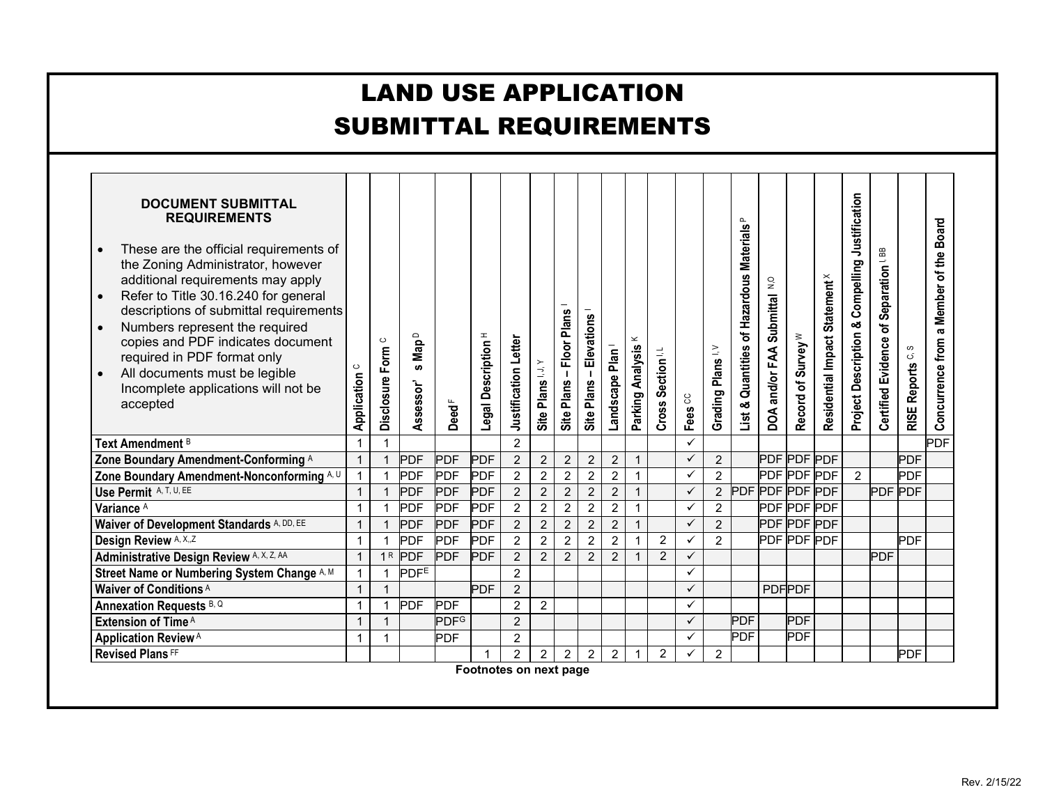| <b>LAND USE APPLICATION</b><br><b>SUBMITTAL REQUIREMENTS</b>                                                                                                                                                                                                                                                                                                                                                                                                  |                        |                            |                                           |                                                 |                                |                      |                  |                          |                           |                             |                                    |                   |                    |                             |                                            |                                                       |                               |                                           |                                                |                                        |                  |                                           |
|---------------------------------------------------------------------------------------------------------------------------------------------------------------------------------------------------------------------------------------------------------------------------------------------------------------------------------------------------------------------------------------------------------------------------------------------------------------|------------------------|----------------------------|-------------------------------------------|-------------------------------------------------|--------------------------------|----------------------|------------------|--------------------------|---------------------------|-----------------------------|------------------------------------|-------------------|--------------------|-----------------------------|--------------------------------------------|-------------------------------------------------------|-------------------------------|-------------------------------------------|------------------------------------------------|----------------------------------------|------------------|-------------------------------------------|
| <b>DOCUMENT SUBMITTAL</b><br><b>REQUIREMENTS</b><br>These are the official requirements of<br>the Zoning Administrator, however<br>additional requirements may apply<br>Refer to Title 30.16.240 for general<br>$\bullet$<br>descriptions of submittal requirements<br>Numbers represent the required<br>copies and PDF indicates document<br>required in PDF format only<br>All documents must be legible<br>Incomplete applications will not be<br>accepted | $\circ$<br>Application | $\circ$<br>Disclosure Form | Map <sup>D</sup><br><b>S</b><br>Assessor' | $\mathsf{Dead}^{\scriptscriptstyle \mathsf{F}}$ | Legal Description <sup>H</sup> | Justification Letter | Site Plans I.J.Y | Site Plans - Floor Plans | Elevations<br>Site Plans- | Landscape Plan <sup>1</sup> | $\! \! \simeq$<br>Parking Analysis | Cross Section I.L | Fees <sup>CC</sup> | Grading Plans <sup>IV</sup> | List & Quantities of Hazardous Materials P | $\mathsf{S}^{\mathsf{O}}$<br>DOA and/or FAA Submittal | Record of Survey <sup>W</sup> | Residential Impact Statement <sup>X</sup> | Project Description & Compelling Justification | Certified Evidence of Separation I, BB | RISE Reports C.S | a Member of the Board<br>Concurrence from |
| Text Amendment <sup>B</sup>                                                                                                                                                                                                                                                                                                                                                                                                                                   | $\mathbf 1$            |                            |                                           |                                                 |                                | $\overline{2}$       |                  |                          |                           |                             |                                    |                   | $\checkmark$       |                             |                                            |                                                       |                               |                                           |                                                |                                        |                  | <b>PDF</b>                                |
| Zone Boundary Amendment-Conforming A                                                                                                                                                                                                                                                                                                                                                                                                                          | $\mathbf{1}$           | 1                          | <b>PDF</b>                                | <b>PDF</b>                                      | <b>PDF</b>                     | $\overline{2}$       | $\sqrt{2}$       | $\sqrt{2}$               | $\overline{2}$            | $\overline{2}$              | $\mathbf{1}$                       |                   | $\checkmark$       | $\overline{2}$              |                                            |                                                       | <b>PDF PDF PDF</b>            |                                           |                                                |                                        | <b>PDF</b>       |                                           |
| Zone Boundary Amendment-Nonconforming A, U                                                                                                                                                                                                                                                                                                                                                                                                                    | -1                     | -1                         | <b>PDF</b>                                | PDF                                             | <b>PDF</b>                     | $\overline{2}$       | $\overline{2}$   | $\overline{2}$           | $\overline{c}$            | $\sqrt{2}$                  | $\mathbf{1}$                       |                   | $\checkmark$       | $\overline{2}$              |                                            |                                                       | PDF PDF PDF                   |                                           | $\overline{2}$                                 |                                        | <b>PDF</b>       |                                           |
| Use Permit A, T, U, EE                                                                                                                                                                                                                                                                                                                                                                                                                                        | $\mathbf{1}$           | $\overline{1}$             | <b>PDF</b>                                | PDF                                             | PDF                            | $\overline{2}$       | $\overline{2}$   | $\overline{2}$           | $\overline{2}$            | $\overline{2}$              | $\mathbf{1}$                       |                   | $\checkmark$       | $\overline{2}$              | PDF PDF PDF PDF                            |                                                       |                               |                                           |                                                | <b>PDF</b>                             | <b>PDF</b>       |                                           |
| Variance <sup>A</sup>                                                                                                                                                                                                                                                                                                                                                                                                                                         | $\mathbf{1}$           | $\overline{1}$             | <b>PDF</b>                                | <b>PDF</b>                                      | <b>PDF</b>                     | $\overline{2}$       | $\overline{2}$   | $\overline{2}$           | $\overline{2}$            | $\overline{2}$              | $\mathbf{1}$                       |                   | $\checkmark$       | $\overline{a}$              |                                            |                                                       | <b>PDF PDF PDF</b>            |                                           |                                                |                                        |                  |                                           |
| Waiver of Development Standards A, DD, EE                                                                                                                                                                                                                                                                                                                                                                                                                     | $\mathbf{1}$           |                            | <b>PDF</b>                                | <b>PDF</b>                                      | <b>PDF</b>                     | $\overline{2}$       | $\overline{2}$   | $\overline{2}$           | $\overline{2}$            | $\overline{2}$              | $\overline{1}$                     |                   | $\checkmark$       | $\overline{2}$              |                                            |                                                       | <b>PDF PDF PDF</b>            |                                           |                                                |                                        |                  |                                           |
| Design Review A, X,,Z                                                                                                                                                                                                                                                                                                                                                                                                                                         | $\mathbf 1$            | $\mathbf 1$                | <b>PDF</b>                                | PDF                                             | <b>PDF</b>                     | $\overline{2}$       | $\overline{2}$   | $\overline{2}$           | $\overline{2}$            | $\overline{2}$              | $\mathbf{1}$                       | $\overline{c}$    | $\checkmark$       | $\overline{2}$              |                                            |                                                       | <b>PDF PDF PDF</b>            |                                           |                                                |                                        | <b>PDF</b>       |                                           |
| <b>Administrative Design Review A, X, Z, AA</b>                                                                                                                                                                                                                                                                                                                                                                                                               | $\mathbf{1}$           |                            | 1R PDF                                    | <b>PDF</b>                                      | <b>PDF</b>                     | $\overline{2}$       | $\overline{2}$   | $\overline{2}$           | $\overline{2}$            | $\overline{2}$              | $\overline{1}$                     | 2                 | $\checkmark$       |                             |                                            |                                                       |                               |                                           |                                                | <b>PDF</b>                             |                  |                                           |
| Street Name or Numbering System Change A, M                                                                                                                                                                                                                                                                                                                                                                                                                   | $\mathbf{1}$           | $\mathbf{1}$               | <b>PDFE</b>                               |                                                 |                                | $\overline{2}$       |                  |                          |                           |                             |                                    |                   | $\checkmark$       |                             |                                            |                                                       |                               |                                           |                                                |                                        |                  |                                           |
| Waiver of Conditions <sup>A</sup>                                                                                                                                                                                                                                                                                                                                                                                                                             | $\overline{1}$         | $\mathbf{1}$               |                                           |                                                 | <b>PDF</b>                     | $\overline{2}$       |                  |                          |                           |                             |                                    |                   | $\checkmark$       |                             |                                            |                                                       | <b>PDFPDF</b>                 |                                           |                                                |                                        |                  |                                           |
| Annexation Requests B, Q                                                                                                                                                                                                                                                                                                                                                                                                                                      | $\overline{1}$         | $\mathbf{1}$               | <b>PDF</b>                                | <b>PDF</b>                                      |                                | $\overline{2}$       | $\overline{2}$   |                          |                           |                             |                                    |                   | $\checkmark$       |                             |                                            |                                                       |                               |                                           |                                                |                                        |                  |                                           |
| Extension of Time A                                                                                                                                                                                                                                                                                                                                                                                                                                           | -1                     | $\mathbf{1}$               |                                           | <b>PDF<sup>G</sup></b>                          |                                | $\overline{2}$       |                  |                          |                           |                             |                                    |                   | $\checkmark$       |                             | PDF                                        |                                                       | <b>PDF</b>                    |                                           |                                                |                                        |                  |                                           |
| <b>Application Review</b> <sup>A</sup>                                                                                                                                                                                                                                                                                                                                                                                                                        | $\mathbf 1$            | $\mathbf{1}$               |                                           | <b>PDF</b>                                      |                                | $\overline{2}$       |                  |                          |                           |                             |                                    |                   | $\checkmark$       |                             | <b>PDF</b>                                 |                                                       | <b>PDF</b>                    |                                           |                                                |                                        |                  |                                           |
| <b>Revised Plans FF</b>                                                                                                                                                                                                                                                                                                                                                                                                                                       |                        |                            |                                           |                                                 | 1                              | $\overline{2}$       | $\overline{c}$   | $\overline{2}$           | $\overline{2}$            | 2 <sup>7</sup>              | $\mathbf{1}$                       | $\overline{2}$    | $\checkmark$       | $\overline{2}$              |                                            |                                                       |                               |                                           |                                                |                                        | <b>PDF</b>       |                                           |